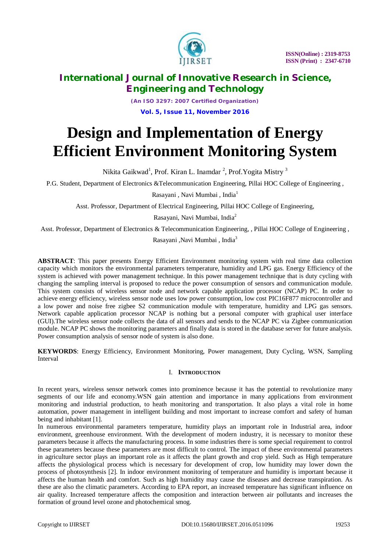

*(An ISO 3297: 2007 Certified Organization)* **Vol. 5, Issue 11, November 2016**

# **Design and Implementation of Energy Efficient Environment Monitoring System**

Nikita Gaikwad<sup>1</sup>, Prof. Kiran L. Inamdar <sup>2</sup>, Prof.Yogita Mistry <sup>3</sup>

P.G. Student, Department of Electronics &Telecommunication Engineering, Pillai HOC College of Engineering ,

Rasayani, Navi Mumbai, India<sup>1</sup>

Asst. Professor, Department of Electrical Engineering, Pillai HOC College of Engineering,

Rasayani, Navi Mumbai, India<sup>2</sup>

Asst. Professor, Department of Electronics & Telecommunication Engineering, , Pillai HOC College of Engineering ,

Rasayani ,Navi Mumbai , India<sup>3</sup>

**ABSTRACT**: This paper presents Energy Efficient Environment monitoring system with real time data collection capacity which monitors the environmental parameters temperature, humidity and LPG gas. Energy Efficiency of the system is achieved with power management technique. In this power management technique that is duty cycling with changing the sampling interval is proposed to reduce the power consumption of sensors and communication module. This system consists of wireless sensor node and network capable application processor (NCAP) PC. In order to achieve energy efficiency, wireless sensor node uses low power consumption, low cost PIC16F877 microcontroller and a low power and noise free zigbee S2 communication module with temperature, humidity and LPG gas sensors. Network capable application processor NCAP is nothing but a personal computer with graphical user interface (GUI).The wireless sensor node collects the data of all sensors and sends to the NCAP PC via Zigbee communication module. NCAP PC shows the monitoring parameters and finally data is stored in the database server for future analysis. Power consumption analysis of sensor node of system is also done.

**KEYWORDS**: Energy Efficiency, Environment Monitoring, Power management, Duty Cycling, WSN, Sampling Interval

## I. **INTRODUCTION**

In recent years, wireless sensor network comes into prominence because it has the potential to revolutionize many segments of our life and economy.WSN gain attention and importance in many applications from environment monitoring and industrial production, to heath monitoring and transportation. It also plays a vital role in home automation, power management in intelligent building and most important to increase comfort and safety of human being and inhabitant [1].

In numerous environmental parameters temperature, humidity plays an important role in Industrial area, indoor environment, greenhouse environment. With the development of modern industry, it is necessary to monitor these parameters because it affects the manufacturing process. In some industries there is some special requirement to control these parameters because these parameters are most difficult to control. The impact of these environmental parameters in agriculture sector plays an important role as it affects the plant growth and crop yield. Such as High temperature affects the physiological process which is necessary for development of crop, low humidity may lower down the process of photosynthesis [2]. In indoor environment monitoring of temperature and humidity is important because it affects the human health and comfort. Such as high humidity may cause the diseases and decrease transpiration. As these are also the climatic parameters. According to EPA report, an increased temperature has significant influence on air quality. Increased temperature affects the composition and interaction between air pollutants and increases the formation of ground level ozone and photochemical smog.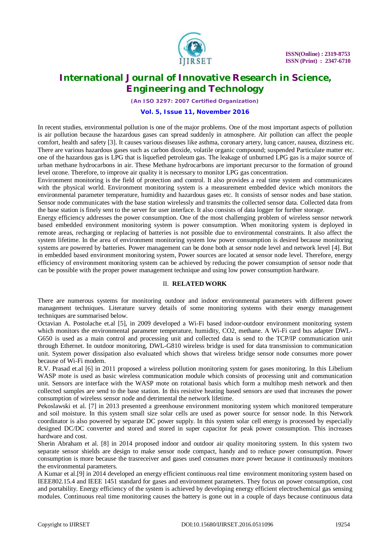

*(An ISO 3297: 2007 Certified Organization)*

### **Vol. 5, Issue 11, November 2016**

In recent studies, environmental pollution is one of the major problems. One of the most important aspects of pollution is air pollution because the hazardous gases can spread suddenly in atmosphere. Air pollution can affect the people comfort, health and safety [3]. It causes various diseases like asthma, coronary artery, lung cancer, nausea, dizziness etc. There are various hazardous gases such as carbon dioxide, volatile organic compound; suspended Particulate matter etc. one of the hazardous gas is LPG that is liquefied petroleum gas. The leakage of unburned LPG gas is a major source of urban methane hydrocarbons in air. These Methane hydrocarbons are important precursor to the formation of ground level ozone. Therefore, to improve air quality it is necessary to monitor LPG gas concentration.

Environment monitoring is the field of protection and control. It also provides a real time system and communicates with the physical world. Environment monitoring system is a measurement embedded device which monitors the environmental parameter temperature, humidity and hazardous gases etc. It consists of sensor nodes and base station. Sensor node communicates with the base station wirelessly and transmits the collected sensor data. Collected data from the base station is finely sent to the server for user interface. It also consists of data logger for further storage.

Energy efficiency addresses the power consumption. One of the most challenging problem of wireless sensor network based embedded environment monitoring system is power consumption. When monitoring system is deployed in remote areas, recharging or replacing of batteries is not possible due to environmental constraints. It also affect the system lifetime. In the area of environment monitoring system low power consumption is desired because monitoring systems are powered by batteries. Power management can be done both at sensor node level and network level [4]. But in embedded based environment monitoring system, Power sources are located at sensor node level. Therefore, energy efficiency of environment monitoring system can be achieved by reducing the power consumption of sensor node that can be possible with the proper power management technique and using low power consumption hardware.

#### II. **RELATED WORK**

There are numerous systems for monitoring outdoor and indoor environmental parameters with different power management techniques. Literature survey details of some monitoring systems with their energy management techniques are summarised below.

Octavian A. Postolache et.al [5], in 2009 developed a Wi-Fi based indoor-outdoor environment monitoring system which monitors the environmental parameter temperature, humidity, CO2, methane. A Wi-Fi card bus adapter DWL-G650 is used as a main control and processing unit and collected data is send to the TCP/IP communication unit through Ethernet. In outdoor monitoring, DWL-G810 wireless bridge is used for data transmission to communication unit. System power dissipation also evaluated which shows that wireless bridge sensor node consumes more power because of Wi-Fi modem.

R.V. Prasad et.al [6] in 2011 proposed a wireless pollution monitoring system for gases monitoring. In this Libelium WASP mote is used as basic wireless communication module which consists of processing unit and communication unit. Sensors are interface with the WASP mote on rotational basis which form a multihop mesh network and then collected samples are send to the base station. In this resistive heating based sensors are used that increases the power consumption of wireless sensor node and detrimental the network lifetime.

Pekoslawski et al. [7] in 2013 presented a greenhouse environment monitoring system which monitored temperature and soil moisture. In this system small size solar cells are used as power source for sensor node. In this Network coordinator is also powered by separate DC power supply. In this system solar cell energy is processed by especially designed DC/DC converter and stored and stored in super capacitor for peak power consumption. This increases hardware and cost.

Sherin Abraham et al. [8] in 2014 proposed indoor and outdoor air quality monitoring system. In this system two separate sensor shields are design to make sensor node compact, handy and to reduce power consumption. Power consumption is more because the trasreceiver and gases used consumes more power because it continuously monitors the environmental parameters.

A Kumar et al.[9] in 2014 developed an energy efficient continuous real time environment monitoring system based on IEEE802.15.4 and IEEE 1451 standard for gases and environment parameters. They focus on power consumption, cost and portability. Energy efficiency of the system is achieved by developing energy efficient electrochemical gas sensing modules. Continuous real time monitoring causes the battery is gone out in a couple of days because continuous data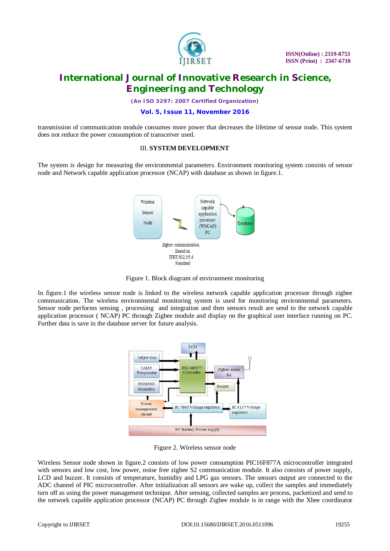

*(An ISO 3297: 2007 Certified Organization)*

### **Vol. 5, Issue 11, November 2016**

transmission of communication module consumes more power that decreases the lifetime of sensor node. This system does not reduce the power consumption of transceiver used.

### III. **SYSTEM DEVELOPMENT**

The system is design for measuring the environmental parameters. Environment monitoring system consists of sensor node and Network capable application processor (NCAP) with database as shown in figure.1.



Figure 1. Block diagram of environment monitoring

In figure.1 the wireless sensor node is linked to the wireless network capable application processor through zigbee communication. The wireless environmental monitoring system is used for monitoring environmental parameters. Sensor node performs sensing , processing and integration and then sensors result are send to the network capable application processor ( NCAP) PC through Zigbee module and display on the graphical user interface running on PC. Further data is save in the database server for future analysis.



Figure 2. Wireless sensor node

Wireless Sensor node shown in figure.2 consists of low power consumption PIC16F877A microcontroller integrated with sensors and low cost, low power, noise free zigbee S2 communication module. It also consists of power supply, LCD and buzzer. It consists of temperature, humidity and LPG gas sensors. The sensors output are connected to the ADC channel of PIC microcontroller. After initialization all sensors are wake up, collect the samples and immediately turn off as using the power management technique. After sensing, collected samples are process, packetized and send to the network capable application processor (NCAP) PC through Zigbee module is in range with the Xbee coordinator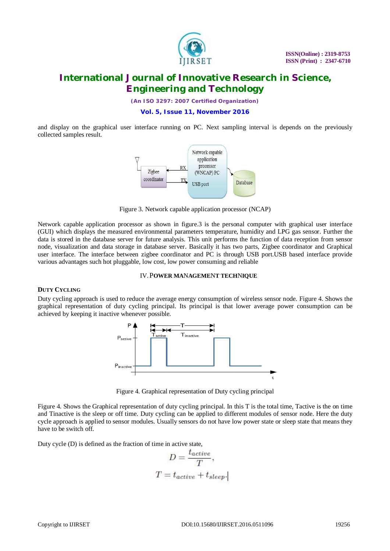

*(An ISO 3297: 2007 Certified Organization)*

### **Vol. 5, Issue 11, November 2016**

and display on the graphical user interface running on PC. Next sampling interval is depends on the previously collected samples result.



Figure 3. Network capable application processor (NCAP)

Network capable application processor as shown in figure.3 is the personal computer with graphical user interface (GUI) which displays the measured environmental parameters temperature, humidity and LPG gas sensor. Further the data is stored in the database server for future analysis. This unit performs the function of data reception from sensor node, visualization and data storage in database server. Basically it has two parts, Zigbee coordinator and Graphical user interface. The interface between zigbee coordinator and PC is through USB port.USB based interface provide various advantages such hot pluggable, low cost, low power consuming and reliable

### IV.P**OWER MA**N**AGEME**N**T TECH**N**IQUE**

#### **DUTY CYCLING**

Duty cycling approach is used to reduce the average energy consumption of wireless sensor node. Figure 4. Shows the graphical representation of duty cycling principal. Its principal is that lower average power consumption can be achieved by keeping it inactive whenever possible.



Figure 4. Graphical representation of Duty cycling principal

Figure 4. Shows the Graphical representation of duty cycling principal. In this T is the total time, Tactive is the on time and Tinactive is the sleep or off time. Duty cycling can be applied to different modules of sensor node. Here the duty cycle approach is applied to sensor modules. Usually sensors do not have low power state or sleep state that means they have to be switch off.

Duty cycle (D) is defined as the fraction of time in active state,

$$
D = \frac{t_{active}}{T},
$$
  

$$
T = t_{active} + t_{sleep}.
$$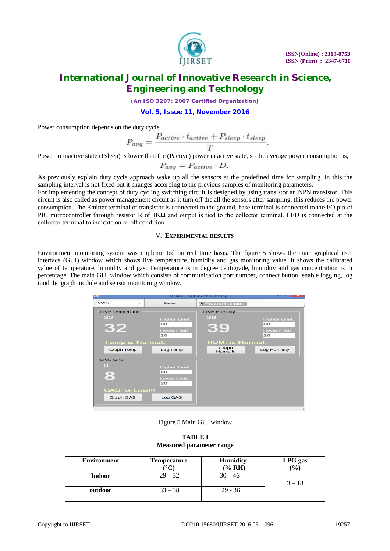

*(An ISO 3297: 2007 Certified Organization)*

**Vol. 5, Issue 11, November 2016**

Power consumption depends on the duty cycle

$$
P_{avg} = \frac{P_{active} \cdot t_{active} + P_{sleep} \cdot t_{sleep}}{T}.
$$

Power in inactive state (Psleep) is lower than the (Pactive) power in active state, so the average power consumption is,

$$
P_{avg} = P_{active} \cdot D.
$$

As previously explain duty cycle approach wake up all the sensors at the predefined time for sampling. In this the sampling interval is not fixed but it changes according to the previous samples of monitoring parameters.

For implementing the concept of duty cycling switching circuit is designed by using transistor an NPN transistor. This circuit is also called as power management circuit as it turn off the all the sensors after sampling, this reduces the power consumption. The Emitter terminal of transistor is connected to the ground, base terminal is connected to the I/O pin of PIC microcontroller through resistor R of  $1K\Omega$  and output is tied to the collector terminal. LED is connected at the collector terminal to indicate on or off condition.

### V. **EXPERIMENTAL RESULTS**

Environment monitoring system was implemented on real time basis. The figure 5 shows the main graphical user interface (GUI) window which shows live temperature, humidity and gas monitoring value. It shows the calibrated value of temperature, humidity and gas. Temperature is in degree centigrade, humidity and gas concentration is in percentage. The main GUI window which consists of communication port number, connect button, enable logging, log module, graph module and sensor monitoring window.

| <b>Online Realtime Monitoring</b><br><b>Post</b><br>≺                       |              |                                                                     |                                                                                        |                                                                                |  |  |  |
|-----------------------------------------------------------------------------|--------------|---------------------------------------------------------------------|----------------------------------------------------------------------------------------|--------------------------------------------------------------------------------|--|--|--|
| COM3                                                                        | $\checkmark$ | Connect                                                             | <b>x</b> Enable Logging                                                                |                                                                                |  |  |  |
| <b>LIVE Temperature</b><br>32<br>32<br><b>Temp is Normal.</b><br>Graph Temp |              | <b>Higher Limit:</b><br>60<br><b>Lower Limit:</b><br>20<br>Log Temp | <b>LIVE Humidity</b><br>39<br>39<br><b>HUM.</b> is Normal.<br>Graph<br><b>Humidity</b> | <b>Higher Limit:</b><br>60<br><b>Lower Limit:</b><br>20<br><b>Log Humidity</b> |  |  |  |
| <b>I IVE GAS</b><br>8<br>8<br><b>GAS. is Low!!!</b><br><b>Graph GAS</b>     |              | <b>Higher Limit:</b><br>60<br><b>Lower Limit:</b><br>20<br>Log GAS  |                                                                                        |                                                                                |  |  |  |

Figure 5 Main GUI window

**TABLE I Measured parameter range**

| <b>Environment</b> | <b>Temperature</b> | <b>Humidity</b> | LPG gas  |
|--------------------|--------------------|-----------------|----------|
|                    |                    | (% RH)          | (9/0)    |
| <b>Indoor</b>      | $29 - 32$          | $30 - 46$       |          |
|                    |                    |                 | $3 - 18$ |
| outdoor            | $33 - 38$          | $29 - 36$       |          |
|                    |                    |                 |          |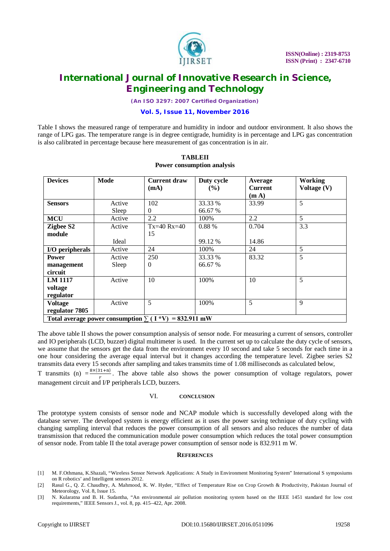

*(An ISO 3297: 2007 Certified Organization)*

### **Vol. 5, Issue 11, November 2016**

Table I shows the measured range of temperature and humidity in indoor and outdoor environment. It also shows the range of LPG gas. The temperature range is in degree centigrade, humidity is in percentage and LPG gas concentration is also calibrated in percentage because here measurement of gas concentration is in air.

| <b>Devices</b>                                              | <b>Mode</b> | <b>Current draw</b> | Duty cycle    | Average           | <b>Working</b> |  |
|-------------------------------------------------------------|-------------|---------------------|---------------|-------------------|----------------|--|
|                                                             |             | (mA)                | $\frac{9}{6}$ | <b>Current</b>    | Voltage (V)    |  |
|                                                             |             |                     |               | (m <sub>A</sub> ) |                |  |
| <b>Sensors</b>                                              | Active      | 102                 | 33.33 %       | 33.99             | 5              |  |
|                                                             | Sleep       | $\theta$            | 66.67 %       |                   |                |  |
| <b>MCU</b>                                                  | Active      | 2.2                 | 100%          | 2.2               | 5              |  |
| Zigbee S2                                                   | Active      | $Tx=40 Rx=40$       | 0.88%         | 0.704             | 3.3            |  |
| module                                                      |             | 15                  |               |                   |                |  |
|                                                             | Ideal       |                     | 99.12 %       | 14.86             |                |  |
| I/O peripherals                                             | Active      | 24                  | 100%          | 24                | 5              |  |
| <b>Power</b>                                                | Active      | 250                 | 33.33 %       | 83.32             | 5              |  |
| management                                                  | Sleep       | $\mathbf{0}$        | 66.67 %       |                   |                |  |
| circuit                                                     |             |                     |               |                   |                |  |
| <b>LM 1117</b>                                              | Active      | 10                  | 100%          | 10                | 5              |  |
| voltage                                                     |             |                     |               |                   |                |  |
| regulator                                                   |             |                     |               |                   |                |  |
| <b>Voltage</b>                                              | Active      | 5                   | 100%          | 5                 | 9              |  |
| regulator 7805                                              |             |                     |               |                   |                |  |
| Total average power consumption $\sum (I * V) = 832.911$ mW |             |                     |               |                   |                |  |

#### **TABLEII Power consumption analysis**

The above table II shows the power consumption analysis of sensor node. For measuring a current of sensors, controller and IO peripherals (LCD, buzzer) digital multimeter is used. In the current set up to calculate the duty cycle of sensors, we assume that the sensors get the data from the environment every 10 second and take 5 seconds for each time in a one hour considering the average equal interval but it changes according the temperature level. Zigbee series S2 transmits data every 15 seconds after sampling and takes transmits time of 1.08 milliseconds as calculated below,

T transmits (n)  $=\frac{8 \times (31+n)}{r}$ . The above table also shows the power consumption of voltage regulators, power management circuit and I/P peripherals LCD, buzzers.

#### VI. **CONCLUSION**

The prototype system consists of sensor node and NCAP module which is successfully developed along with the database server. The developed system is energy efficient as it uses the power saving technique of duty cycling with changing sampling interval that reduces the power consumption of all sensors and also reduces the number of data transmission that reduced the communication module power consumption which reduces the total power consumption of sensor node. From table II the total average power consumption of sensor node is 832.911 m W.

#### **REFERENCES**

- [1] M. F.Othmana, K.Shazali, "Wireless Sensor Network Applications: A Study in Environment Monitoring System" International S symposiums on R robotics' and Intelligent sensors 2012.
- [2] Rasul G., Q. Z. Chaudhry, A. Mahmood, K. W. Hyder, "Effect of Temperature Rise on Crop Growth & Productivity, Pakistan Journal of Meteorology, Vol. 8, Issue 15.
- [3] N. Kularatna and B. H. Sudantha, "An environmental air pollution monitoring system based on the IEEE 1451 standard for low cost requirements," IEEE Sensors J., vol. 8, pp. 415–422, Apr. 2008.